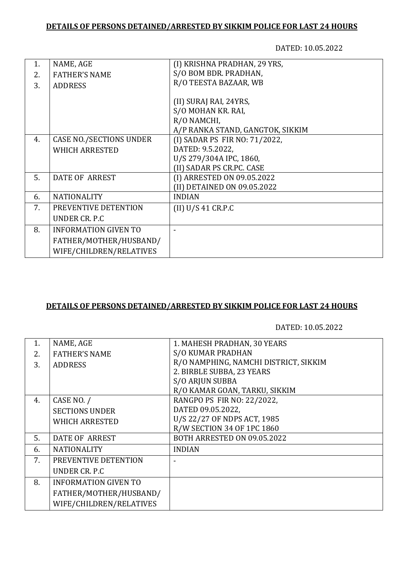## **DETAILS OF PERSONS DETAINED/ARRESTED BY SIKKIM POLICE FOR LAST 24 HOURS**

DATED: 10.05.2022

| 1. | NAME, AGE                      | (I) KRISHNA PRADHAN, 29 YRS,     |
|----|--------------------------------|----------------------------------|
| 2. | <b>FATHER'S NAME</b>           | S/O BOM BDR. PRADHAN,            |
| 3. | <b>ADDRESS</b>                 | R/O TEESTA BAZAAR, WB            |
|    |                                |                                  |
|    |                                | (II) SURAJ RAI, 24YRS,           |
|    |                                | S/O MOHAN KR. RAI,               |
|    |                                | R/O NAMCHI,                      |
|    |                                | A/P RANKA STAND, GANGTOK, SIKKIM |
| 4. | <b>CASE NO./SECTIONS UNDER</b> | (I) SADAR PS FIR NO: 71/2022,    |
|    | <b>WHICH ARRESTED</b>          | DATED: 9.5.2022,                 |
|    |                                | U/S 279/304A IPC, 1860,          |
|    |                                | (II) SADAR PS CR.PC. CASE        |
| 5. | DATE OF ARREST                 | (I) ARRESTED ON 09.05.2022       |
|    |                                | (II) DETAINED ON 09.05.2022      |
| 6. | <b>NATIONALITY</b>             | <b>INDIAN</b>                    |
| 7. | PREVENTIVE DETENTION           | (II) U/S 41 C R.P.C              |
|    | UNDER CR. P.C.                 |                                  |
| 8. | <b>INFORMATION GIVEN TO</b>    |                                  |
|    | FATHER/MOTHER/HUSBAND/         |                                  |
|    | WIFE/CHILDREN/RELATIVES        |                                  |
|    |                                |                                  |

## **DETAILS OF PERSONS DETAINED/ARRESTED BY SIKKIM POLICE FOR LAST 24 HOURS**

DATED: 10.05.2022

| $\mathbf{1}$ . | NAME, AGE                   | 1. MAHESH PRADHAN, 30 YEARS           |
|----------------|-----------------------------|---------------------------------------|
| 2.             | <b>FATHER'S NAME</b>        | <b>S/O KUMAR PRADHAN</b>              |
| 3.             | <b>ADDRESS</b>              | R/O NAMPHING, NAMCHI DISTRICT, SIKKIM |
|                |                             | 2. BIRBLE SUBBA, 23 YEARS             |
|                |                             | S/O ARJUN SUBBA                       |
|                |                             | R/O KAMAR GOAN, TARKU, SIKKIM         |
| 4.             | CASE NO. /                  | RANGPO PS FIR NO: 22/2022,            |
|                | <b>SECTIONS UNDER</b>       | DATED 09.05.2022,                     |
|                | <b>WHICH ARRESTED</b>       | U/S 22/27 OF NDPS ACT, 1985           |
|                |                             | R/W SECTION 34 OF 1PC 1860            |
| 5.             | <b>DATE OF ARREST</b>       | BOTH ARRESTED ON 09.05.2022           |
| 6.             | <b>NATIONALITY</b>          | <b>INDIAN</b>                         |
| 7.             | PREVENTIVE DETENTION        |                                       |
|                | UNDER CR. P.C.              |                                       |
| 8.             | <b>INFORMATION GIVEN TO</b> |                                       |
|                | FATHER/MOTHER/HUSBAND/      |                                       |
|                | WIFE/CHILDREN/RELATIVES     |                                       |